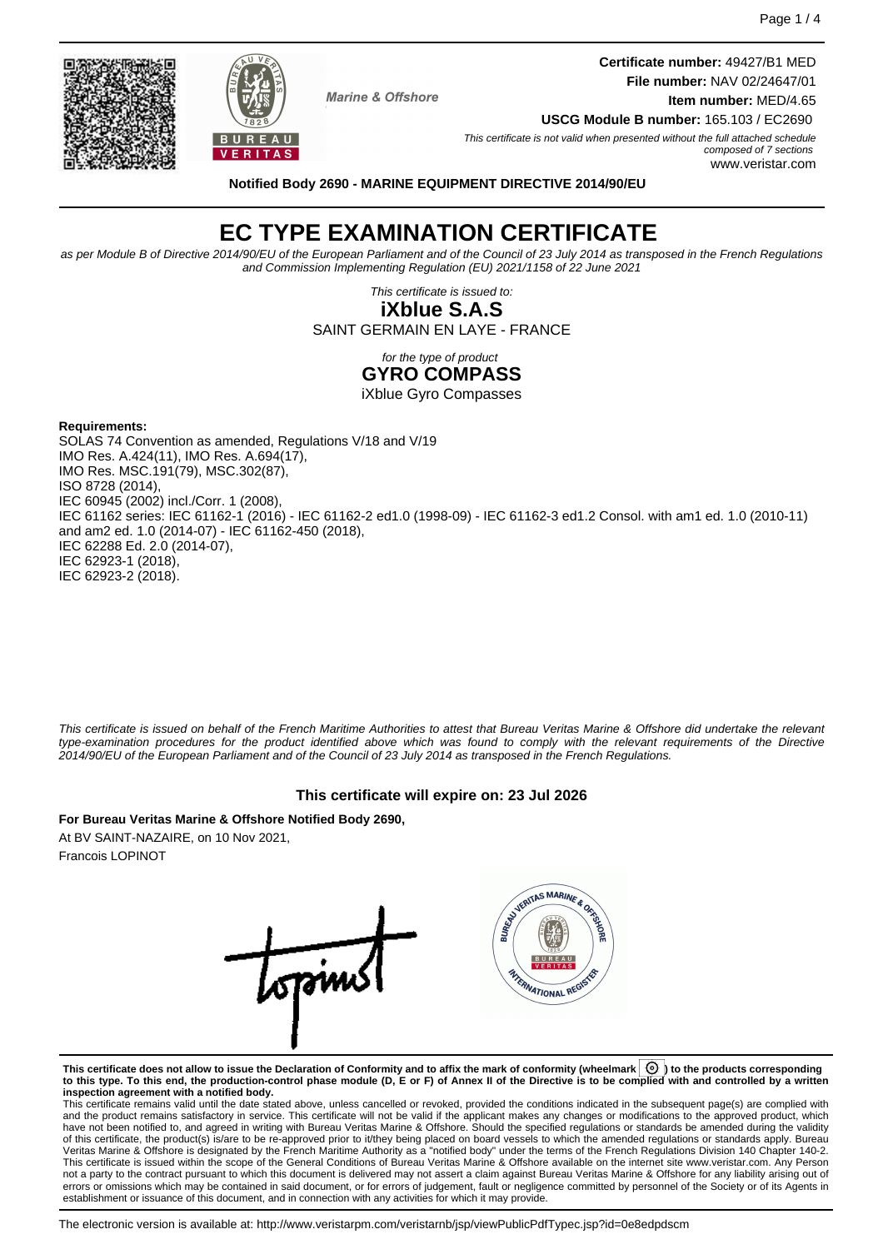**Certificate number:** 49427/B1 MED **File number:** NAV 02/24647/01 **Item number:** MED/4.65

**USCG Module B number:** 165.103 / EC2690 This certificate is not valid when presented without the full attached schedule composed of 7 sections www.veristar.com

**Notified Body 2690 - MARINE EQUIPMENT DIRECTIVE 2014/90/EU**

**Marine & Offshore** 

# **EC TYPE EXAMINATION CERTIFICATE**

as per Module B of Directive 2014/90/EU of the European Parliament and of the Council of 23 July 2014 as transposed in the French Regulations and Commission Implementing Regulation (EU) 2021/1158 of 22 June 2021

> This certificate is issued to: **iXblue S.A.S**

SAINT GERMAIN EN LAYE - FRANCE

for the type of product

**GYRO COMPASS**

iXblue Gyro Compasses

#### **Requirements:**

SOLAS 74 Convention as amended, Regulations V/18 and V/19 IMO Res. A.424(11), IMO Res. A.694(17), IMO Res. MSC.191(79), MSC.302(87), ISO 8728 (2014), IEC 60945 (2002) incl./Corr. 1 (2008), IEC 61162 series: IEC 61162-1 (2016) - IEC 61162-2 ed1.0 (1998-09) - IEC 61162-3 ed1.2 Consol. with am1 ed. 1.0 (2010-11) and am2 ed. 1.0 (2014-07) - IEC 61162-450 (2018), IEC 62288 Ed. 2.0 (2014-07), IEC 62923-1 (2018), IEC 62923-2 (2018).

This certificate is issued on behalf of the French Maritime Authorities to attest that Bureau Veritas Marine & Offshore did undertake the relevant type-examination procedures for the product identified above which was found to comply with the relevant requirements of the Directive 2014/90/EU of the European Parliament and of the Council of 23 July 2014 as transposed in the French Regulations.

# **This certificate will expire on: 23 Jul 2026**

**For Bureau Veritas Marine & Offshore Notified Body 2690,** At BV SAINT-NAZAIRE, on 10 Nov 2021, Francois LOPINOT

VERITAS MARINE & ORD opin REAMATIONAL REG

**This certificate does not allow to issue the Declaration of Conformity and to affix the mark of conformity (wheelmark ) to the products corresponding to this type. To this end, the production-control phase module (D, E or F) of Annex II of the Directive is to be complied with and controlled by a written**

**inspection agreement with a notified body.**<br>This certificate remains valid until the date stated above, unless cancelled or revoked, provided the conditions indicated in the subsequent page(s) are complied with and the product remains satisfactory in service. This certificate will not be valid if the applicant makes any changes or modifications to the approved product, which have not been notified to, and agreed in writing with Bureau Veritas Marine & Offshore. Should the specified regulations or standards be amended during the validity of this certificate, the product(s) is/are to be re-approved prior to it/they being placed on board vessels to which the amended regulations or standards apply. Bureau<br>Veritas Marine & Offshore is designated by the French not a party to the contract pursuant to which this document is delivered may not assert a claim against Bureau Veritas Marine & Offshore for any liability arising out of errors or omissions which may be contained in said document, or for errors of judgement, fault or negligence committed by personnel of the Society or of its Agents in establishment or issuance of this document, and in connection with any activities for which it may provide.



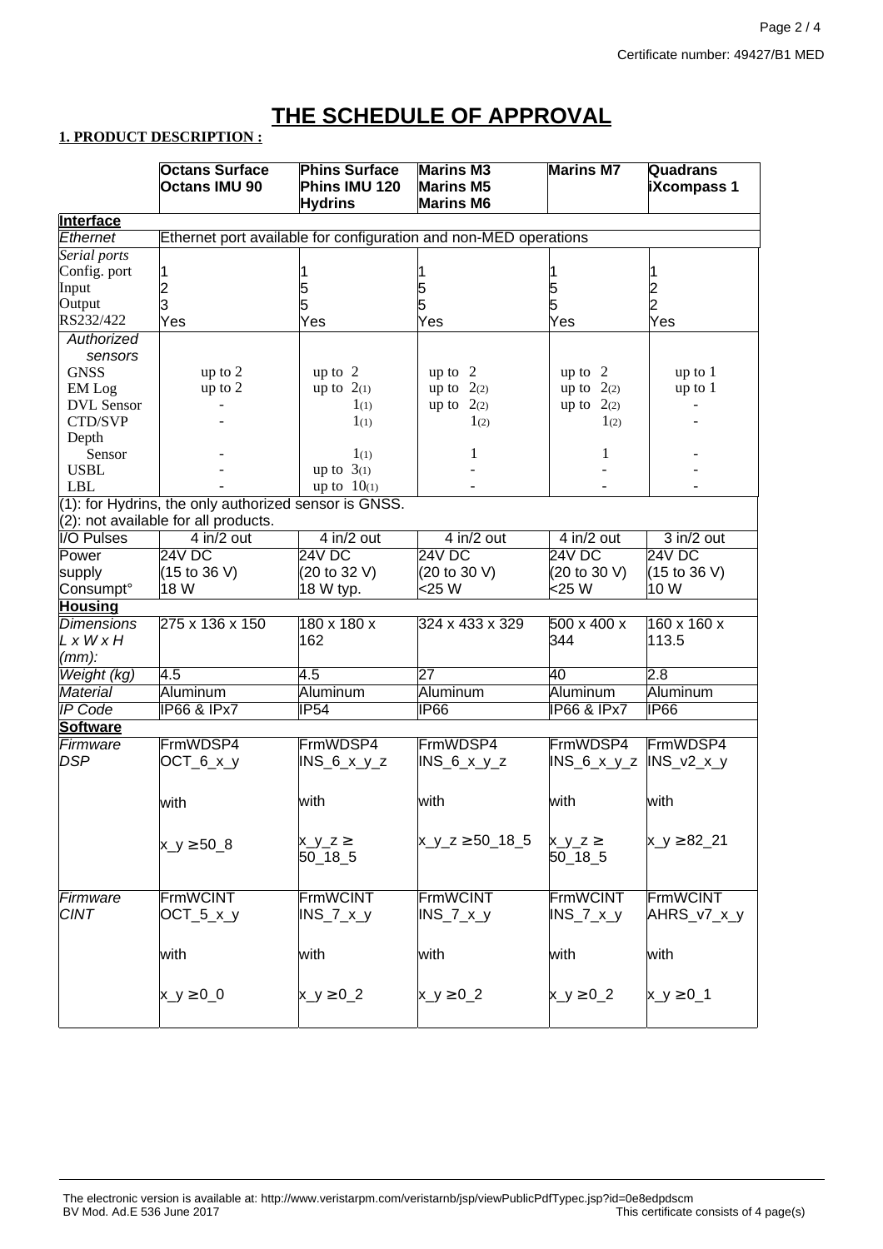# **THE SCHEDULE OF APPROVAL**

# **1. PRODUCT DESCRIPTION :**

|                                                                              | <b>Octans Surface</b>                | <b>Phins Surface</b>    | <b>Marins M3</b>            | <b>Marins M7</b>       | <b>Quadrans</b>    |  |  |  |  |
|------------------------------------------------------------------------------|--------------------------------------|-------------------------|-----------------------------|------------------------|--------------------|--|--|--|--|
|                                                                              | <b>Octans IMU 90</b>                 | Phins IMU 120           | <b>Marins M5</b>            |                        | <b>iXcompass 1</b> |  |  |  |  |
|                                                                              |                                      | <b>Hydrins</b>          | <b>Marins M6</b>            |                        |                    |  |  |  |  |
| <b>Interface</b>                                                             |                                      |                         |                             |                        |                    |  |  |  |  |
| Ethernet<br>Ethernet port available for configuration and non-MED operations |                                      |                         |                             |                        |                    |  |  |  |  |
| Serial ports                                                                 |                                      |                         |                             |                        |                    |  |  |  |  |
| Config. port                                                                 | 1                                    |                         |                             |                        |                    |  |  |  |  |
| Input                                                                        | $\overline{c}$                       | 5                       |                             |                        |                    |  |  |  |  |
| Output                                                                       | 3                                    |                         | 5<br>5                      | 5<br>5                 |                    |  |  |  |  |
| RS232/422                                                                    | Yes                                  | Yes                     | Yes                         | Yes                    | 2<br>2<br>Yes      |  |  |  |  |
| Authorized                                                                   |                                      |                         |                             |                        |                    |  |  |  |  |
|                                                                              |                                      |                         |                             |                        |                    |  |  |  |  |
| sensors                                                                      |                                      |                         |                             |                        |                    |  |  |  |  |
| <b>GNSS</b>                                                                  | up to 2                              | up to $2$               | up to 2                     | up to 2                | up to 1            |  |  |  |  |
| EM Log                                                                       | up to 2                              | up to $2(1)$            | up to $2(2)$                | up to $2(2)$           | up to 1            |  |  |  |  |
| <b>DVL</b> Sensor                                                            |                                      | $1_{(1)}$               | up to $2(2)$                | up to $2(2)$           |                    |  |  |  |  |
| CTD/SVP                                                                      |                                      | $1_{(1)}$               | 1(2)                        | 1(2)                   |                    |  |  |  |  |
| Depth                                                                        |                                      |                         |                             |                        |                    |  |  |  |  |
| Sensor                                                                       |                                      | $1_{(1)}$               | 1                           | 1                      |                    |  |  |  |  |
| <b>USBL</b>                                                                  |                                      | up to $3(1)$            |                             |                        |                    |  |  |  |  |
| <b>LBL</b>                                                                   |                                      | up to $10(1)$           |                             |                        |                    |  |  |  |  |
| (1): for Hydrins, the only authorized sensor is GNSS.                        |                                      |                         |                             |                        |                    |  |  |  |  |
|                                                                              | (2): not available for all products. |                         |                             |                        |                    |  |  |  |  |
| <b>I/O Pulses</b>                                                            | $4$ in/2 out                         | $4$ in/2 out            | $4$ in/2 out                | $4$ in/2 out           | $3$ in/2 out       |  |  |  |  |
| Power                                                                        | 24V DC                               | 24V DC                  | 24V DC                      | 24V DC                 | 24V DC             |  |  |  |  |
| supply                                                                       | $(15 \text{ to } 36 \text{ V})$      | (20 to 32 V)            | (20 to 30 V)                | (20 to 30 V)           | (15 to 36 V)       |  |  |  |  |
| Consumpt <sup>o</sup>                                                        | 18 W                                 | 18 W typ.               | <25 W                       | <25 W                  | 10 W               |  |  |  |  |
| <b>Housing</b>                                                               |                                      |                         |                             |                        |                    |  |  |  |  |
| <b>Dimensions</b>                                                            | 275 x 136 x 150                      | $180 \times 180 \times$ | 324 x 433 x 329             | 500 x 400 x            | 160 x 160 x        |  |  |  |  |
| LxWxH                                                                        |                                      | 162                     |                             | 344                    | 113.5              |  |  |  |  |
| $(mm)$ :                                                                     |                                      |                         |                             |                        |                    |  |  |  |  |
| Weight (kg)                                                                  | 4.5                                  | 4.5                     | 27                          | 40                     | 2.8                |  |  |  |  |
| <b>Material</b>                                                              | Aluminum                             | Aluminum                | Aluminum                    | Aluminum               | Aluminum           |  |  |  |  |
|                                                                              |                                      |                         |                             |                        |                    |  |  |  |  |
| <b>IP</b> Code                                                               | <b>IP66 &amp; IPx7</b>               | IP54                    | IP66                        | <b>IP66 &amp; IPx7</b> | IP66               |  |  |  |  |
| <b>Software</b>                                                              |                                      |                         |                             |                        |                    |  |  |  |  |
| Firmware                                                                     | FrmWDSP4                             | FrmWDSP4                | FrmWDSP4                    | FrmWDSP4               | FrmWDSP4           |  |  |  |  |
| <b>DSP</b>                                                                   | $OCT_6_x_y$                          | $INS_6_x_y_z$           | $INS_6_x_y_z$               | $INS_6_x_y_z$          | $INS_v2_x_y$       |  |  |  |  |
|                                                                              |                                      |                         |                             |                        |                    |  |  |  |  |
|                                                                              | with                                 | with                    | with                        | with                   | with               |  |  |  |  |
|                                                                              |                                      |                         |                             |                        |                    |  |  |  |  |
|                                                                              |                                      |                         |                             |                        |                    |  |  |  |  |
|                                                                              | $x_{y} \ge 508$                      | $x_y_z \ge$             | $x_{y_{z}}$ z $\ge$ 50_18_5 | $x_y_z \ge$            | $x_y \ge 82.21$    |  |  |  |  |
|                                                                              |                                      | $50 - 18 - 5$           |                             | $50 - 18 - 5$          |                    |  |  |  |  |
|                                                                              |                                      |                         |                             |                        |                    |  |  |  |  |
| Firmware                                                                     | FrmWCINT                             | <b>FrmWCINT</b>         | FrmWCINT                    | FrmWCINT               | FrmWCINT           |  |  |  |  |
| <b>CINT</b>                                                                  | $OCT_5_x_y$                          | $INS_7_x_y$             | $INS_7_x_y$                 | $INS_7_x_y$            | AHRS_v7_x_y        |  |  |  |  |
|                                                                              |                                      |                         |                             |                        |                    |  |  |  |  |
|                                                                              |                                      |                         |                             |                        |                    |  |  |  |  |
|                                                                              | with                                 | with                    | with                        | with                   | with               |  |  |  |  |
|                                                                              |                                      |                         |                             |                        |                    |  |  |  |  |
|                                                                              | $x_{y \geq 0} 0$                     | $x_y \geq 0$ _2         | $x_{y \geq 0} 2$            | $x_y \ge 0$ _2         | $x_y \ge 0$ 1      |  |  |  |  |
|                                                                              |                                      |                         |                             |                        |                    |  |  |  |  |
|                                                                              |                                      |                         |                             |                        |                    |  |  |  |  |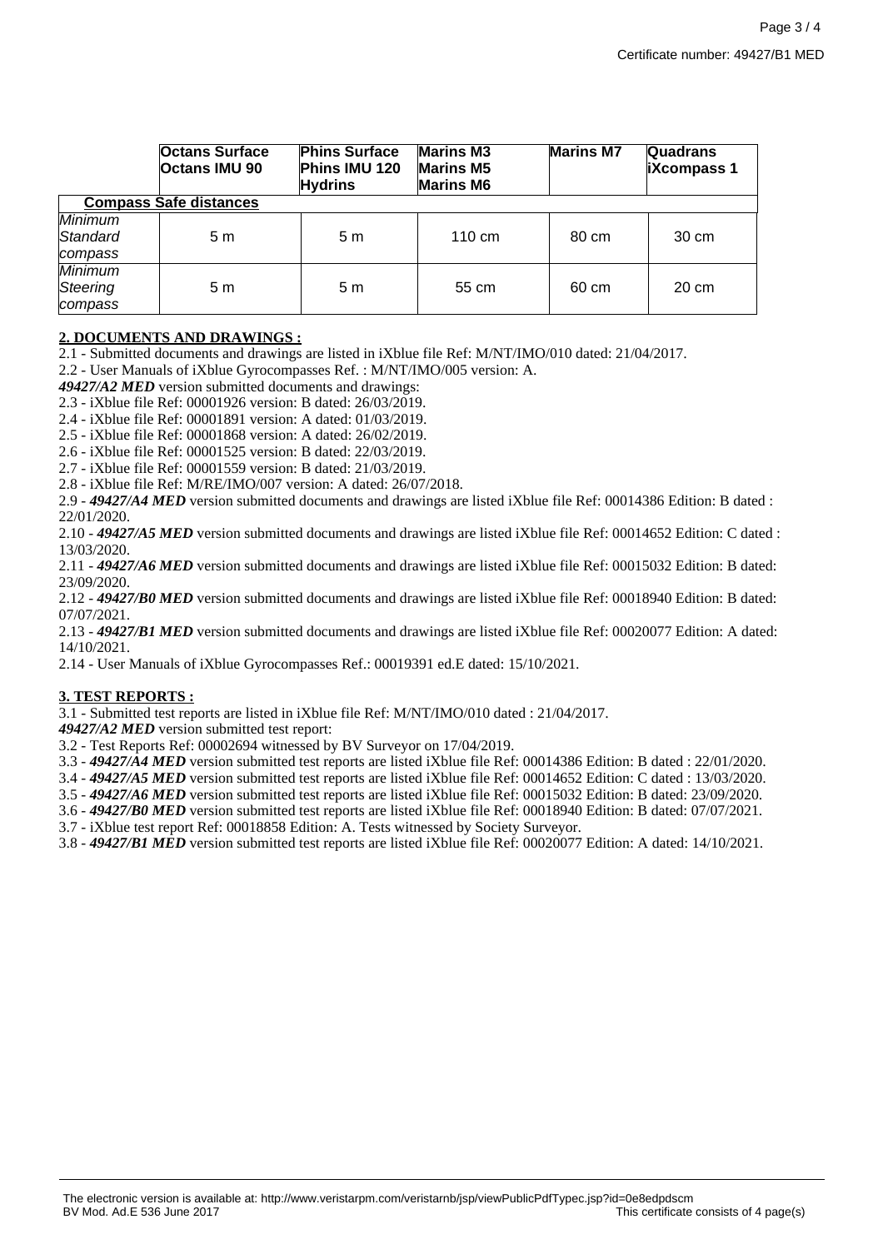|                                       | <b>Octans Surface</b><br><b>Octans IMU 90</b> | <b>Phins Surface</b><br>Phins IMU 120<br><b>Hydrins</b> | <b>Marins M3</b><br><b>Marins M5</b><br><b>Marins M6</b> | <b>Marins M7</b> | <b>Quadrans</b><br><b>iXcompass 1</b> |  |  |  |
|---------------------------------------|-----------------------------------------------|---------------------------------------------------------|----------------------------------------------------------|------------------|---------------------------------------|--|--|--|
| <b>Compass Safe distances</b>         |                                               |                                                         |                                                          |                  |                                       |  |  |  |
| Minimum<br>Standard<br>compass        | 5m                                            | 5 m                                                     | $110 \text{ cm}$                                         | 80 cm            | 30 cm                                 |  |  |  |
| <b>Minimum</b><br>Steering<br>compass | 5m                                            | 5 m                                                     | 55 cm                                                    | 60 cm            | 20 cm                                 |  |  |  |

# **2. DOCUMENTS AND DRAWINGS :**

2.1 - Submitted documents and drawings are listed in iXblue file Ref: M/NT/IMO/010 dated: 21/04/2017.

2.2 - User Manuals of iXblue Gyrocompasses Ref. : M/NT/IMO/005 version: A.

*49427/A2 MED* version submitted documents and drawings:

2.3 - iXblue file Ref: 00001926 version: B dated: 26/03/2019.

2.4 - iXblue file Ref: 00001891 version: A dated: 01/03/2019.

2.5 - iXblue file Ref: 00001868 version: A dated: 26/02/2019.

2.6 - iXblue file Ref: 00001525 version: B dated: 22/03/2019.

2.7 - iXblue file Ref: 00001559 version: B dated: 21/03/2019.

2.8 - iXblue file Ref: M/RE/IMO/007 version: A dated: 26/07/2018.

2.9 - *49427/A4 MED* version submitted documents and drawings are listed iXblue file Ref: 00014386 Edition: B dated : 22/01/2020.

2.10 - *49427/A5 MED* version submitted documents and drawings are listed iXblue file Ref: 00014652 Edition: C dated : 13/03/2020.

2.11 - *49427/A6 MED* version submitted documents and drawings are listed iXblue file Ref: 00015032 Edition: B dated: 23/09/2020.

2.12 - *49427/B0 MED* version submitted documents and drawings are listed iXblue file Ref: 00018940 Edition: B dated: 07/07/2021.

2.13 - *49427/B1 MED* version submitted documents and drawings are listed iXblue file Ref: 00020077 Edition: A dated: 14/10/2021.

2.14 - User Manuals of iXblue Gyrocompasses Ref.: 00019391 ed.E dated: 15/10/2021.

#### **3. TEST REPORTS :**

3.1 - Submitted test reports are listed in iXblue file Ref: M/NT/IMO/010 dated : 21/04/2017.

*49427/A2 MED* version submitted test report:

3.2 - Test Reports Ref: 00002694 witnessed by BV Surveyor on 17/04/2019.

3.3 - *49427/A4 MED* version submitted test reports are listed iXblue file Ref: 00014386 Edition: B dated : 22/01/2020.

3.4 - *49427/A5 MED* version submitted test reports are listed iXblue file Ref: 00014652 Edition: C dated : 13/03/2020.

3.5 - *49427/A6 MED* version submitted test reports are listed iXblue file Ref: 00015032 Edition: B dated: 23/09/2020.

3.6 - *49427/B0 MED* version submitted test reports are listed iXblue file Ref: 00018940 Edition: B dated: 07/07/2021.

3.7 - iXblue test report Ref: 00018858 Edition: A. Tests witnessed by Society Surveyor.

3.8 - *49427/B1 MED* version submitted test reports are listed iXblue file Ref: 00020077 Edition: A dated: 14/10/2021.